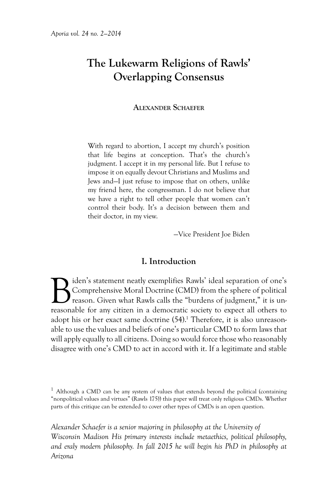# **The Lukewarm Religions of Rawls' Overlapping Consensus**

**Alexander Schaefer**

With regard to abortion, I accept my church's position that life begins at conception. That's the church's judgment. I accept it in my personal life. But I refuse to impose it on equally devout Christians and Muslims and Jews and—I just refuse to impose that on others, unlike my friend here, the congressman. I do not believe that we have a right to tell other people that women can't control their body. It's a decision between them and their doctor, in my view.

—Vice President Joe Biden

#### **I. Introduction**

Biden's statement neatly exemplifies Rawls' ideal separation of one's<br>Comprehensive Moral Doctrine (CMD) from the sphere of political<br>reasonable for any citizen in a democratic society to expect all others to Comprehensive Moral Doctrine (CMD) from the sphere of political reason. Given what Rawls calls the "burdens of judgment," it is unreasonable for any citizen in a democratic society to expect all others to adopt his or her exact same doctrine (54).<sup>1</sup> Therefore, it is also unreasonable to use the values and beliefs of one's particular CMD to form laws that will apply equally to all citizens. Doing so would force those who reasonably disagree with one's CMD to act in accord with it. If a legitimate and stable

*Alexander Schaefer is a senior majoring in philosophy at the University of Wisconsin Madison His primary interests include metaethics, political philosophy, and eraly modern philosophy. In fall 2015 he will begin his PhD in philosophy at Arizona* 

<sup>&</sup>lt;sup>1</sup> Although a CMD can be any system of values that extends beyond the political (containing "nonpolitical values and virtues" (Rawls 175)) this paper will treat only religious CMDs. Whether parts of this critique can be extended to cover other types of CMDs is an open question.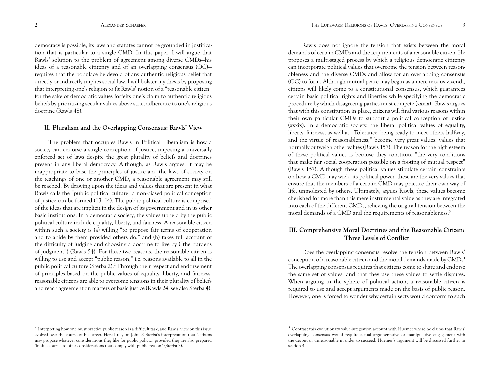democracy is possible, its laws and statutes cannot be grounded in justification that is particular to a single CMD. In this paper, I will argue that Rawls' solution to the problem of agreement among diverse CMDs—his ideas of a reasonable citizenry and of an overlapping consensus (OC) requires that the populace be devoid of any authentic religious belief that directly or indirectly implies social law. I will bolster my thesis by proposing that interpreting one's religion to fit Rawls' notion of a "reasonable citizen" for the sake of democratic values forfeits one's claim to authentic religious beliefs by prioritizing secular values above strict adherence to one's religious doctrine (Rawls 48).

## **II. Pluralism and the Overlapping Consensus: Rawls' View**

The problem that occupies Rawls in Political Liberalism is how a society can endorse a single conception of justice, imposing a universally enforced set of laws despite the great plurality of beliefs and doctrines present in any liberal democracy. Although, as Rawls argues, it may be inappropriate to base the principles of justice and the laws of society on the teachings of one or another CMD, a reasonable agreement may still be reached. By drawing upon the ideas and values that are present in what Rawls calls the "public political culture" a non-biased political conception of justice can be formed (13–14). The public political culture is comprised of the ideas that are implicit in the design of its government and in its other basic institutions. In a democratic society, the values upheld by the public political culture include equality, liberty, and fairness. A reasonable citizen within such a society is (a) willing "to propose fair terms of cooperation and to abide by them provided others do," and (b) takes full account of the difficulty of judging and choosing a doctrine to live by ("the burdens of judgment") (Rawls 54). For these two reasons, the reasonable citizen is willing to use and accept "public reason," i.e. reasons available to all in the public political culture (Sterba 2).<sup>2</sup> Through their respect and endorsement of principles based on the public values of equality, liberty, and fairness, reasonable citizens are able to overcome tensions in their plurality of beliefs and reach agreement on matters of basic justice (Rawls 24; see also Sterba 4).

Rawls does not ignore the tension that exists between the moral demands of certain CMDs and the requirements of a reasonable citizen. He proposes a multi-staged process by which a religious democratic citizenry can incorporate political values that overcome the tension between reasonableness and the diverse CMDs and allow for an overlapping consensus (OC) to form. Although mutual peace may begin as a mere modus vivendi, citizens will likely come to a constitutional consensus, which guarantees certain basic political rights and liberties while specifying the democratic procedure by which disagreeing parties must compete (xxxix) . Rawls argues that with this constitution in place, citizens will find various reasons within their own particular CMDs to support a political conception of justice (xxxix). In a democratic society, the liberal political values of equality, liberty, fairness, as well as "Tolerance, being ready to meet others halfway, and the virtue of reasonableness," become very great values, values that normally outweigh other values (Rawls 157). The reason for the high esteem of these political values is because they constitute "the very conditions that make fair social cooperation possible on a footing of mutual respect" (Rawls 157). Although these political values stipulate certain constraints on how a CMD may wield its political power, these are the very values that ensure that the members of a certain CMD may practice their own way of life, unmolested by others. Ultimately, argues Rawls, these values become cherished for more than this mere instrumental value as they are integrated into each of the different CMDs, relieving the original tension between the moral demands of a CMD and the requirements of reasonableness.<sup>3</sup>

# **III. Comprehensive Moral Doctrines and the Reasonable Citizen: Three Levels of Conflict**

Does the overlapping consensus resolve the tension between Rawls' conception of a reasonable citizen and the moral demands made by CMDs? The overlapping consensus requires that citizens come to share and endorse the same set of values, and that they use these values to settle disputes. When arguing in the sphere of political action, a reasonable citizen is required to use and accept arguments made on the basis of public reason. However, one is forced to wonder why certain sects would conform to such

 $2$  Interpreting how one must practice public reason is a difficult task, and Rawls' view on this issue evolved over the course of his career. Here I rely on John P. Sterba's interpretation that "citizens may propose whatever considerations they like for public policy… provided they are also prepared 'in due course' to offer considerations that comply with public reason" (Sterba 2).

 $3$  Contrast this evolutionary value-integration account with Huemer where he claims that Rawls' overlapping consensus would require actual argumentative or manipulative engagement with the devout or unreasonable in order to succeed. Huemer's argument will be discussed further in section 4.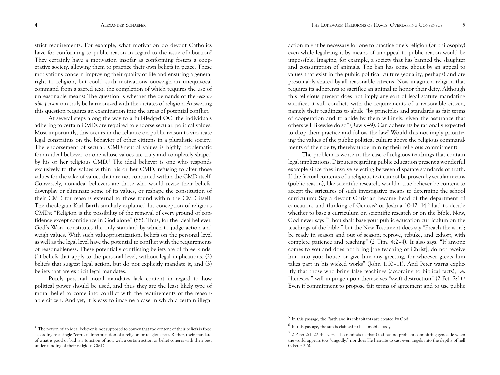strict requirements. For example, what motivation do devout Catholics have for conforming to public reason in regard to the issue of abortion? They certainly have a motivation insofar as conforming fosters a cooperative society, allowing them to practice their own beliefs in peace. These motivations concern improving their quality of life and ensuring a general right to religion, but could such motivations outweigh an unequivocal command from a sacred text, the completion of which requires the use of unreasonable means? The question is whether the demands of the *reasonable person* can truly be harmonized with the dictates of religion. Answering this question requires an examination into the areas of potential conflict.

At several steps along the way to a full-fledged OC, the individuals adhering to certain CMDs are required to endorse secular, political values. Most importantly, this occurs in the reliance on public reason to vindicate legal constraints on the behavior of other citizens in a pluralistic society. The endorsement of secular, CMD-neutral values is highly problematic for an ideal believer, or one whose values are truly and completely shaped by his or her religious CMD.<sup>4</sup> The ideal believer is one who responds exclusively to the values within his or her CMD, refusing to alter those values for the sake of values that are not contained within the CMD itself. Conversely, non-ideal believers are those who would revise their beliefs, downplay or eliminate some of its values, or reshape the constitution of their CMD for reasons external to those found within the CMD itself. The theologian Karl Barth similarly explained his conception of religious CMDs: "Religion is the possibility of the removal of every ground of confidence except confidence in God alone" (88). Thus, for the ideal believer, God's Word constitutes the only standard by which to judge action and weigh values. With such value-prioritization, beliefs on the personal level as well as the legal level have the potential to conflict with the requirements of reasonableness. These potentially conflicting beliefs are of three kinds: (1) beliefs that apply to the personal level, without legal implications, (2) beliefs that suggest legal action, but do not explicitly mandate it, and (3) beliefs that are explicit legal mandates.

Purely personal moral mandates lack content in regard to how political power should be used, and thus they are the least likely type of moral belief to come into conflict with the requirements of the reasonable citizen. And yet, it is easy to imagine a case in which a certain illegal

action might be necessary for one to practice one's religion (or philosophy) even while legalizing it by means of an appeal to public reason would be impossible. Imagine, for example, a society that has banned the slaughter and consumption of animals. The ban has come about by an appeal to values that exist in the public political culture (equality, perhaps) and are presumably shared by all reasonable citizens. Now imagine a religion that requires its adherents to sacrifice an animal to honor their deity. Although this religious precept does not imply any sort of legal statute mandating sacrifice, it still conflicts with the requirements of a reasonable citizen, namely their readiness to abide "by principles and standards as fair terms of cooperation and to abide by them willingly, given the assurance that others will likewise do so" (Rawls 49). Can adherents be rationally expected to drop their practice and follow the law? Would this not imply prioritizing the values of the public political culture above the religious commandments of their deity, thereby undermining their religious commitment?

The problem is worse in the case of religious teachings that contain legal implications. Disputes regarding public education present a wonderful example since they involve selecting between disparate standards of truth. If the factual contents of a religious text cannot be proven by secular means (public reason), like scientific research, would a true believer be content to accept the strictures of such investigative means to determine the school curriculum? Say a devout Christian became head of the department of education, and thinking of Genesis<sup>5</sup> or Joshua 10:12-14,<sup>6</sup> had to decide whether to base a curriculum on scientific research or on the Bible. Now, God never says "Thou shalt base your public education curriculum on the teachings of the bible," but the New Testament does say "Preach the word; be ready in season and out of season; reprove, rebuke, and exhort, with complete patience and teaching" (2 Tim. 4:2–4). It also says: "If anyone comes to you and does not bring [the teaching of Christ], do not receive him into your house or give him any greeting, for whoever greets him takes part in his wicked works" (John 1:10–11). And Peter warns explicitly that those who bring false teachings (according to biblical facts), i.e. "heresies," will impinge upon themselves "swift destruction" (2 Pet. 2:1).7 Even if commitment to propose fair terms of agreement and to use public

<sup>&</sup>lt;sup>4</sup> The notion of an ideal believer is not supposed to convey that the content of their beliefs is fixed according to a single "correct" interpretation of a religion or religious text. Rather, their standard of what is good or bad is a function of how well a certain action or belief coheres with their best understanding of their religious CMD.

 $5$  In this passage, the Earth and its inhabitants are created by God.

 $6$  In this passage, the sun is claimed to be a mobile body.

 $7$  2 Peter 2:1-22 this verse also reminds us that God has no problem committing genocide when the world appears too "ungodly," nor does He hesitate to cast even angels into the depths of hell (2 Peter 2:6).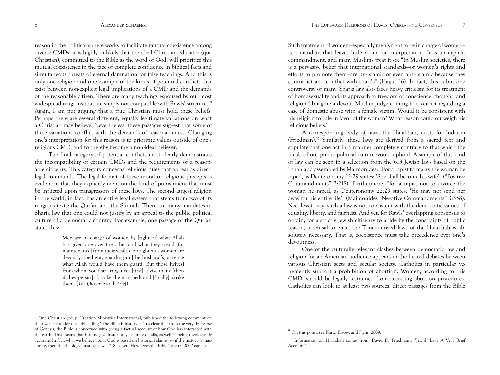reason in the political sphere works to facilitate mutual coexistence among diverse CMDs, it is highly unlikely that the ideal Christian educator (qua Christian), committed to the Bible as the word of God, will prioritize this mutual coexistence in the face of complete confidence in biblical facts and simultaneous threats of eternal damnation for false teachings. And this is only one religion and one example of the kinds of potential conflicts that exist between non-explicit legal implications of a CMD and the demands of the reasonable citizen. There are many teachings espoused by our most widespread religions that are simply not compatible with Rawls' strictures.<sup>8</sup> Again, I am not arguing that a true Christian must hold these beliefs. Perhaps there are several different, equally legitimate variations on what a Christian may believe. Nevertheless, these passages suggest that some of these variations conflict with the demands of reasonableness. Changing one's interpretation for this reason is to prioritize values outside of one's religious CMD, and to thereby become a non-ideal believer.

The final category of potential conflicts most clearly demonstrates the incompatibility of certain CMDs and the requirements of a reasonable citizenry. This category concerns religious rules that appear as direct, legal commands. The legal format of these moral or religious precepts is evident in that they explicitly mention the kind of punishment that must be inflicted upon transgressors of these laws. The second largest religion in the world, in fact, has an entire legal system that stems from two of its religious texts: the Qur'an and the Sunnah. There are many mandates in Sharia law that one could not justify by an appeal to the public political culture of a democratic country. For example, one passage of the Qur'an states this:

> Men are in charge of women by [right of] what Allah has given one over the other and what they spend [for maintenance] from their wealth. So righteous women are devoutly obedient, guarding in [the husband's] absence what Allah would have them guard. But those [wives] from whom you fear arrogance - [first] advise them; [then if they persist], forsake them in bed; and [finally], strike them. (*The Qur'an* Surah 4:34)

Such treatment of women—especially men's right to be in charge of women is a mandate that leaves little room for interpretation. It is an explicit commandment, and many Muslims treat it so: "In Muslim societies, there is a pervasive belief that international standards—or women's rights and efforts to promote them—are un-Islamic or even anti-Islamic because they contradict and conflict with shari'a" (Hajjar 16). In fact, this is but one controversy of many. Sharia law also faces heavy criticism for its treatment of homosexuality and its approach to freedom of conscience, thought, and religion.9 Imagine a devout Muslim judge coming to a verdict regarding a case of domestic abuse with a female victim. Would it be consistent with his religion to rule in favor of the woman? What reason could outweigh his religious beliefs?

A corresponding body of laws, the Halakhah, exists for Judaism (Friedman).10 Similarly, these laws are derived from a sacred text and stipulate that one act in a manner completely contrary to that which the ideals of our public political culture would uphold. A sample of this kind of law can be seen in a selection from the 613 Jewish laws based on the Torah and assembled by Maimonides: "For a rapist to marry the woman he raped, as Deuteronomy 22:29 states: 'She shall become his wife'" ("Positive Commandments" 3:218). Furthermore, "for a rapist not to divorce the woman he raped, as Deuteronomy 22:29 states: 'He may not send her away for his entire life'" (Maimonides "Negative Commandments" 3:358). Needless to say, such a law is not consistent with the democratic values of equality, liberty, and fairness. And yet, for Rawls' overlapping consensus to obtain, for a strictly Jewish citizenry to abide by the constraints of public reason, a refusal to enact the Torah-derived laws of the Halakhah is absolutely necessary. That is, coexistence must take precedence over one's devoutness.

One of the culturally relevant clashes between democratic law and religion for an American audience appears in the heated debates between various Christian sects and secular society. Catholics in particular vehemently support a prohibition of abortion. Women, according to this CMD, should be legally restrained from accessing abortion procedures. Catholics can look to at least two sources: direct passages from the Bible

<sup>8</sup> One Christian group, Creation Ministries International, published the following comment on their website under the subheading "The Bible is history!": "It's clear that from the very first verse of Genesis, the Bible is concerned with giving a factual account of how God has interacted with the earth. This means that it must give historically accurate details, as well as being theologically accurate. In fact, what we believe about God is based on historical claims, so if the history is inaccurate, then the theology must be as well!" (Cosner "How Does the Bible Teach 6,000 Years?").

<sup>9</sup> On this point, see Kurtz, Dacey, and Flynn 2009.

<sup>10</sup> Information on Halakhah comes from: David D. Friedman's "Jewish Law: A Very Brief Account."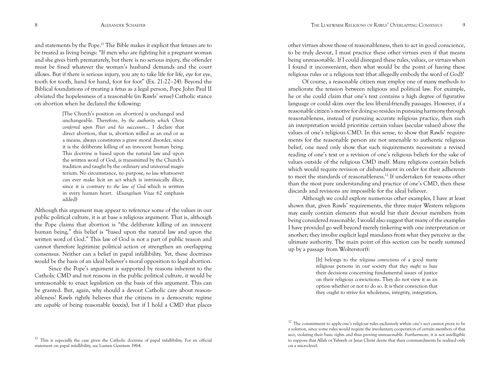and statements by the Pope.11 The Bible makes it explicit that fetuses are to be treated as living beings: "If men who are fighting hit a pregnant woman and she gives birth prematurely, but there is no serious injury, the offender must be fined whatever the woman's husband demands and the court allows. But if there is serious injury, you are to take life for life, eye for eye, tooth for tooth, hand for hand, foot for foot" (Ex. 21:22–24). Beyond the Biblical foundations of treating a fetus as a legal person, Pope John Paul II obviated the hopelessness of a reasonable (in Rawls' sense) Catholic stance on abortion when he declared the following:

> [The Church's position on abortion] is unchanged and unchangeable. Therefore, *by the authority which Christ conferred upon Peter and his successors*… I declare that direct abortion, that is, abortion willed as an end or as a means, always constitutes a grave moral disorder, since it is the deliberate killing of an innocent human being. This doctrine is based upon the natural law and upon the written word of God, is transmitted by the Church's tradition and taught by the ordinary and universal magisterium. No circumstance, no purpose, *no law* whatsoever can ever make licit an act which is intrinsically illicit, since it is contrary to *the law of God* which is written in every human heart. (*Evangelium Vitae* 62 emphasis added)

Although this argument may appear to reference some of the values in our public political culture, it is at base a religious argument. That is, although the Pope claims that abortion is "the deliberate killing of an innocent human being," this belief is "based upon the natural law and upon the written word of God." This law of God is not a part of public reason and cannot therefore legitimize political action or strengthen an overlapping consensus. Neither can a belief in papal infallibility. Yet, these doctrines would be the basis of an ideal believer's moral opposition to legal abortion.

Since the Pope's argument is supported by reasons inherent to the Catholic CMD and not reasons in the public political culture, it would be unreasonable to enact legislation on the basis of this argument. This can be granted. But, again, why should a devout Catholic care about reasonableness? Rawls rightly believes that the citizens in a democratic regime are *capable* of being reasonable (xxxix), but if I hold a CMD that places

other virtues above those of reasonableness, then to act in good conscience, to be truly devout, I must practice these other virtues even if that means being unreasonable. If I could disregard these rules, values, or virtues when I found it inconvenient, then what would be the point of having these religious rules or a religious text (that allegedly embody the word of God)?

Of course, a reasonable citizen may employ one of many methods to ameliorate the tension between religious and political law. For example, he or she could claim that one's text contains a high degree of figurative language or could skim over the less liberal-friendly passages. However, if a reasonable citizen's motive for doing so resides in pursuing harmony through reasonableness, instead of pursuing accurate religious practice, then such an interpretation would prioritize certain values (secular values) above the values of one's religious CMD. In this sense, to show that Rawls' requirements for the reasonable person are not amenable to authentic religious belief, one need only show that such requirements necessitate a revised reading of one's text or a revision of one's religious beliefs for the sake of values outside of the religious CMD itself. Many religions contain beliefs which would require revision or disbandment in order for their adherents to meet the standards of reasonableness.12 If undertaken for reasons other than the most pure understanding and practice of one's CMD, then these discards and revisions are impossible for the ideal believer.

Although we could explore numerous other examples, I have at least shown that, given Rawls' requirements, the three major Western religions may easily contain elements that would bar their devout members from being considered reasonable. I would also suggest that many of the examples I have provided go well beyond merely tinkering with one interpretation or another; they involve explicit legal mandates from what they perceive as the ultimate authority. The main point of this section can be neatly summed up by a passage from Wolterstorff:

> [It] belongs to the *religious convictions* of a good many religious persons in our society that *they ought to base* their decisions concerning fundamental issues of justice on their religious convictions. They do not view it as an option whether or not to do so. It is their conviction that they ought to strive for wholeness, integrity, integration,

 $12$  The commitment to apply one's religious rules exclusively within one's sect cannot prove to be a solution, since some rules would require the involuntary cooperation of certain members of that sect, violating their basic rights and thus proving unreasonable. Furthermore, it is not intelligible to suppose that Allah or Yahweh or Jesus Christ desire that their commandments be realized only on a micro-level.

 $11$  This is especially the case given the Catholic doctrine of papal infallibility. For an official statement on papal infallibility, see Lumen Gentium 1964.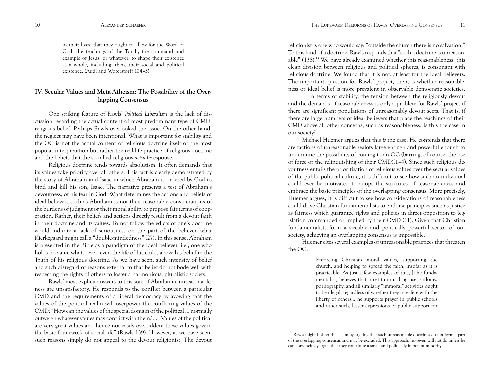in their lives; that they ought to allow for the Word of God, the teachings of the Torah, the command and example of Jesus, or whatever, to shape their existence as a whole, including, then, their social and political existence. (Audi and Woterstorff 104–5)

# **IV. Secular Values and Meta-Atheism: The Possibility of the Overlapping Consensus**

One striking feature of Rawls' *Political Liberalism* is the lack of discussion regarding the actual content of most predominant type of CMD: religious belief. Perhaps Rawls overlooked the issue. On the other hand, the neglect may have been intentional. What is important for stability and the OC is not the actual content of religious doctrine itself or the most popular interpretation but rather the real-life practice of religious doctrine and the beliefs that the so-called religious *actually* espouse.

Religious doctrine tends towards absolutism. It often demands that its values take priority over all others. This fact is clearly demonstrated by the story of Abraham and Isaac in which Abraham is ordered by God to bind and kill his son, Isaac. The narrative presents a test of Abraham's devoutness, of his fear in God. What determines the actions and beliefs of ideal believers such as Abraham is not their reasonable considerations of the burdens of judgment or their moral ability to propose fair terms of cooperation. Rather, their beliefs and actions directly result from a devout faith in their doctrine and its values. To not follow the edicts of one's doctrine would indicate a lack of seriousness on the part of the believer—what Kierkegaard might call a "double-mindedness" (27). In this sense, Abraham is presented in the Bible as a paradigm of the ideal believer, i.e., one who holds no value whatsoever, even the life of his child, above his belief in the Truth of his religious doctrine. As we have seen, such intensity of belief and such disregard of reasons external to that belief do not bode well with respecting the rights of others to foster a harmonious, pluralistic society.

Rawls' most explicit answers to this sort of Abrahamic unreasonableness are unsatisfactory. He responds to the conflict between a particular CMD and the requirements of a liberal democracy by avowing that the values of the political realm will overpower the conflicting values of the CMD: "How can the values of the special domain of the political ... normally outweigh whatever values may conflict with them? . . . Values of the political are very great values and hence not easily overridden: these values govern the basic framework of social life" (Rawls 139). However, as we have seen, such reasons simply do not appeal to the devout religionist. The devout

religionist is one who would say: "outside the church there is no salvation." To this kind of a doctrine, Rawls responds that "such a doctrine is unreasonable" (138).13 We have already examined whether this reasonableness, this clean division between religious and political spheres, is consonant with religious doctrine. We found that it is not, at least for the ideal believers. The important question for Rawls' project, then, is whether reasonableness or ideal belief is more prevalent in observable democratic societies.

In terms of stability, the tension between the religiously devout and the demands of reasonableness is only a problem for Rawls' project if there are significant populations of unreasonably devout sects. That is, if there are large numbers of ideal believers that place the teachings of their CMD above all other concerns, such as reasonableness. Is this the case in our society?

Michael Huemer argues that this *is* the case. He contends that there are factions of unreasonable zealots large enough and powerful enough to undermine the possibility of coming to an OC (barring, of course, the use of force or the relinquishing of their CMD)(1–4). Since such religious devoutness entails the prioritization of religious values over the secular values of the public political culture, it is difficult to see how such an individual could ever be motivated to adopt the strictures of reasonableness and embrace the basic principles of the overlapping consensus. More precisely, Huemer argues, it is difficult to see how considerations of reasonableness could drive Christian fundamentalists to endorse principles such as justice as fairness which guarantee rights and policies in direct opposition to legislation commanded or implied by their CMD (11). Given that Christian fundamentalists form a sizeable and politically powerful sector of our society, achieving an overlapping consensus is impossible.

Huemer cites several examples of unreasonable practices that threaten the OC:

> Enforcing Christian moral values, supporting the church, and helping to spread the faith, insofar as it is practicable. As just a few examples of this, [The fundamentalist] believes that prostitution, drug use, sodomy, pornography, and all similarly "immoral" activities ought to be illegal, regardless of whether they interfere with the liberty of others… he supports prayer in public schools and other such, lesser expressions of public support for

<sup>&</sup>lt;sup>13</sup> Rawls might bolster this claim by arguing that such unreasonable doctrines do not form a part of the overlapping consensus and may be excluded. This approach, however, will not do unless he can convincingly argue that they constitute a small and politically impotent minority.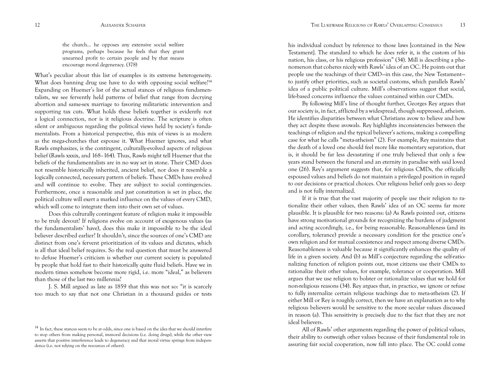the church… he opposes any extensive social welfare programs, perhaps because he feels that they grant unearned profit to certain people and by that means encourage moral degeneracy. (378)

What's peculiar about this list of examples is its extreme heterogeneity. What does banning drug use have to do with opposing social welfare?<sup>14</sup> Expanding on Huemer's list of the actual stances of religious fundamentalists, we see fervently held patterns of belief that range from decrying abortion and same-sex marriage to favoring militaristic intervention and supporting tax cuts. What holds these beliefs together is evidently not a logical connection, nor is it religious doctrine. The scripture is often silent or ambiguous regarding the political views held by society's fundamentalists. From a historical perspective, this mix of views is as modern as the mega-churches that espouse it. What Huemer ignores, and what Rawls emphasizes, is the contingent, culturally-evolved aspects of religious belief (Rawls xxxix, and 168–164). Thus, Rawls might tell Huemer that the beliefs of the fundamentalists are in no way set in stone. Their CMD does not resemble historically inherited, ancient belief, nor does it resemble a logically connected, necessary pattern of beliefs. These CMDs have evolved and will continue to evolve. They are subject to social contingencies. Furthermore, once a reasonable and just constitution is set in place, the political culture will exert a marked influence on the values of every CMD, which will come to integrate them into their own set of values.

Does this culturally contingent feature of religion make it impossible to be truly devout? If religions evolve on account of exogenous values (as the fundamentalists' have), does this make it impossible to be the ideal believer described earlier? It shouldn't, since the sources of one's CMD are distinct from one's fervent prioritization of its values and dictates, which is all that ideal belief requires. So the real question that must be answered to defuse Huemer's criticism is whether our current society is populated by people that hold fast to their historically quite fluid beliefs. Have we in modern times somehow become more rigid, i.e. more "ideal," as believers than those of the last two millennia?

J. S. Mill argued as late as 1859 that this was not so: "it is scarcely too much to say that not one Christian in a thousand guides or tests

his individual conduct by reference to those laws [contained in the New Testament]. The standard to which he does refer it, is the custom of his nation, his class, or his religious profession" (34). Mill is describing a phenomenon that coheres nicely with Rawls' idea of an OC. He points out that people use the teachings of their CMD—in this case, the New Testament to justify other priorities, such as societal customs, which parallels Rawls' idea of a public political culture. Mill's observations suggest that social, life-based concerns influence the values contained within our CMDs.

By following Mill's line of thought further, Georges Rey argues that our society is, in fact, afflicted by a widespread, though suppressed, atheism. He identifies disparities between what Christians avow to believe and how they act despite these avowals. Rey highlights inconsistencies between the teachings of religion and the typical believer's actions, making a compelling case for what he calls "meta-atheism" (2). For example, Rey maintains that the death of a loved one should feel more like momentary separation, that is, it should be far less devastating if one truly believed that only a few years stand between the funeral and an eternity in paradise with said loved one (26). Rey's argument suggests that, for religious CMDs, the officially espoused values and beliefs do not maintain a privileged position in regard to our decisions or practical choices. Our religious belief only goes so deep and is not fully internalized.

If it is true that the vast majority of people use their religion to rationalize their other values, then Rawls' idea of an OC seems far more plausible. It is plausible for two reasons: (a) As Rawls pointed out, citizens have strong motivational grounds for recognizing the burdens of judgment and acting accordingly, i.e., for being reasonable. Reasonableness (and its corollary, tolerance) provide a necessary condition for the practice one's own religion and for mutual coexistence and respect among diverse CMDs. Reasonableness is valuable because it significantly enhances the quality of life in a given society. And (b) as Mill's conjecture regarding the self-rationalizing function of religion points out, most citizens use their CMDs to rationalize their other values, for example, tolerance or cooperation. Mill argues that we use religion to bolster or rationalize values that we hold for non-religious reasons (34). Rey argues that, in practice, we ignore or refuse to fully internalize certain religious teachings due to meta-atheism (2). If either Mill or Rey is roughly correct, then we have an explanation as to why religious believers would be sensitive to the more secular values discussed in reason (a). This sensitivity is precisely due to the fact that they are not ideal believers.

All of Rawls' other arguments regarding the power of political values, their ability to outweigh other values because of their fundamental role in assuring fair social cooperation, now fall into place. The OC could come

<sup>&</sup>lt;sup>14</sup> In fact, these stances seem to be at odds, since one is based on the idea that we should interfere to stop others from making personal, immoral decisions (i.e. doing drugs), while the other view asserts that positive interference leads to degeneracy and that moral virtue springs from independence (i.e. not relying on the resources of others).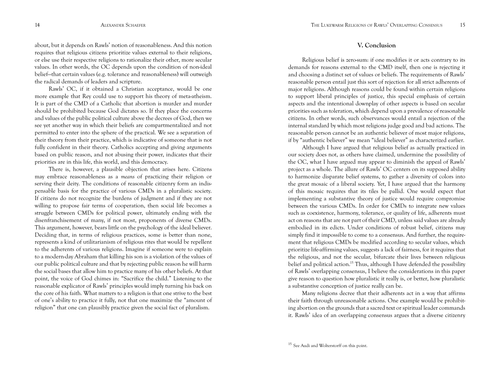about, but it depends on Rawls' notion of reasonableness. And this notion requires that religious citizens prioritize values external to their religions, or else use their respective religions to rationalize their other, more secular values. In other words, the OC depends upon the condition of non-ideal belief—that certain values (e.g. tolerance and reasonableness) will outweigh the radical demands of leaders and scripture.

Rawls' OC, if it obtained a Christian acceptance, would be one more example that Rey could use to support his theory of meta-atheism. It is part of the CMD of a Catholic that abortion is murder and murder should be prohibited because God dictates so. If they place the concerns and values of the public political culture above the decrees of God, then we see yet another way in which their beliefs are compartmentalized and not permitted to enter into the sphere of the practical. We see a separation of their theory from their practice, which is indicative of someone that is not fully confident in their theory. Catholics accepting and giving arguments based on public reason, and not abusing their power, indicates that their priorities are in this life, this world, and this democracy.

There is, however, a plausible objection that arises here. Citizens may embrace reasonableness as a *means* of practicing their religion or serving their deity. The conditions of reasonable citizenry form an indispensable basis for the practice of various CMDs in a pluralistic society. If citizens do not recognize the burdens of judgment and if they are not willing to propose fair terms of cooperation, then social life becomes a struggle between CMDs for political power, ultimately ending with the disenfranchisement of many, if not most, proponents of diverse CMDs. This argument, however, bears little on the psychology of the ideal believer. Deciding that, in terms of religious practices, some is better than none, represents a kind of utilitarianism of religious rites that would be repellent to the adherents of various religions. Imagine if someone were to explain to a modern-day Abraham that killing his son is a violation of the values of our public political culture and that by rejecting public reason he will harm the social bases that allow him to practice many of his other beliefs. At that point, the voice of God chimes in: "Sacrifice the child." Listening to the reasonable explicator of Rawls' principles would imply turning his back on the core of his faith. What matters to a religion is that one strive to the best of one's ability to practice it fully, not that one maximize the "amount of religion" that one can plausibly practice given the social fact of pluralism.

## **V. Conclusion**

Religious belief is zero-sum: if one modifies it or acts contrary to its demands for reasons external to the CMD itself, then one is rejecting it and choosing a distinct set of values or beliefs. The requirements of Rawls' reasonable person entail just this sort of rejection for all strict adherents of major religions. Although reasons could be found within certain religions to support liberal principles of justice, this special emphasis of certain aspects and the intentional downplay of other aspects is based on secular priorities such as toleration, which depend upon a prevalence of reasonable citizens. In other words, such observances would entail a rejection of the internal standard by which most religions judge good and bad actions. The reasonable person cannot be an authentic believer of most major religions, if by "authentic believer" we mean "ideal believer" as characterized earlier.

Although I have argued that religious belief as actually practiced in our society does not, as others have claimed, undermine the possibility of the OC, what I have argued may appear to diminish the appeal of Rawls' project as a whole. The allure of Rawls' OC centers on its supposed ability to harmonize disparate belief systems, to gather a diversity of colors into the great mosaic of a liberal society. Yet, I have argued that the harmony of this mosaic requires that its tiles be pallid. One would expect that implementing a substantive theory of justice would require compromise between the various CMDs. In order for CMDs to integrate new values such as coexistence, harmony, tolerance, or quality of life, adherents must act on reasons that are not part of their CMD, unless said values are already embodied in its edicts. Under conditions of robust belief, citizens may simply find it impossible to come to a consensus. And further, the requirement that religious CMDs be modified according to secular values, which prioritize life-affirming values, suggests a lack of fairness, for it requires that the religious, and not the secular, bifurcate their lives between religious belief and political action.<sup>15</sup> Thus, although I have defended the possibility of Rawls' overlapping consensus, I believe the considerations in this paper give reason to question how pluralistic it really is, or better, how pluralistic a substantive conception of justice really can be.

Many religions decree that their adherents act in a way that affirms their faith through unreasonable actions. One example would be prohibiting abortion on the grounds that a sacred text or spiritual leader commands it. Rawls' idea of an overlapping consensus argues that a diverse citizenry

<sup>&</sup>lt;sup>15</sup> See Audi and Wolterstorff on this point.